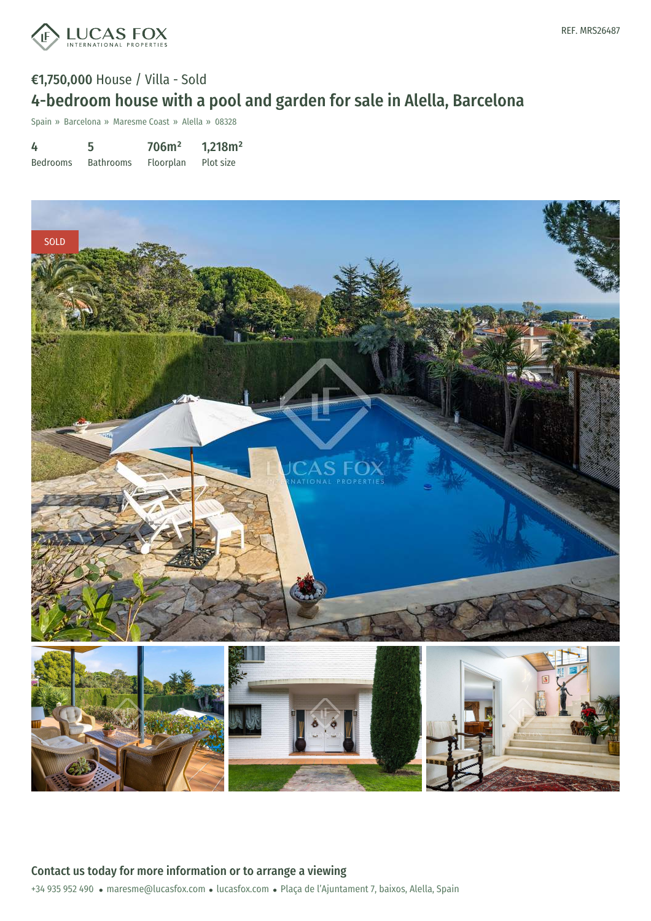

# €1,750,000 House / Villa - Sold 4-bedroom house with a pool and garden for sale in Alella, Barcelona

Spain » Barcelona » Maresme Coast » Alella » 08328

| 4               | 5                | 706m <sup>2</sup> | 1,218m <sup>2</sup> |
|-----------------|------------------|-------------------|---------------------|
| <b>Bedrooms</b> | <b>Bathrooms</b> | Floorplan         | Plot size           |

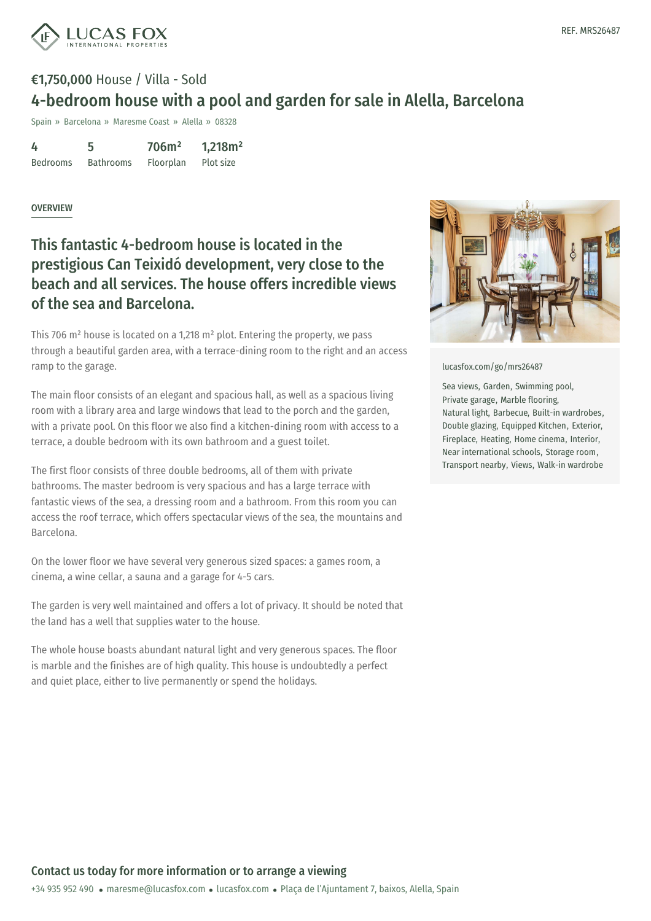

# €1,750,000 House / Villa - Sold 4-bedroom house with a pool and garden for sale in Alella, Barcelona

Spain » Barcelona » Maresme Coast » Alella » 08328

4 Bedrooms 5 Bathrooms 706m² Floorplan 1,218m² Plot size

#### OVERVIEW

### This fantastic 4-bedroom house is located in the prestigious Can Teixidó development, very close to the beach and all services. The house offers incredible views of the sea and Barcelona.

This 706 m² house is located on a 1,218 m² plot. Entering the property, we pass through a beautiful garden area, with a terrace-dining room to the right and an access ramp to the garage.

The main floor consists of an elegant and spacious hall, as well as a spacious living room with a library area and large windows that lead to the porch and the garden, with a private pool. On this floor we also find a kitchen-dining room with access to a terrace, a double bedroom with its own bathroom and a guest toilet.

The first floor consists of three double bedrooms, all of them with private bathrooms. The master bedroom is very spacious and has a large terrace with fantastic views of the sea, a dressing room and a bathroom. From this room you can access the roof terrace, which offers spectacular views of the sea, the mountains and Barcelona.

On the lower floor we have several very generous sized spaces: a games room, a cinema, a wine cellar, a sauna and a garage for 4-5 cars.

The garden is very well maintained and offers a lot of privacy. It should be noted that the land has a well that supplies water to the house.

The whole house boasts abundant natural light and very generous spaces. The floor is marble and the finishes are of high quality. This house is undoubtedly a perfect and quiet place, either to live [permanen](mailto:maresme@lucasfox.com)tly or [spend](https://www.lucasfox.com) the holidays.



[lucasfox.com/go/mrs26487](https://www.lucasfox.com/go/mrs26487)

Sea views, Garden, Swimming pool, Private garage, Marble flooring, Natural light, Barbecue, Built-in wardrobes, Double glazing, Equipped Kitchen, Exterior, Fireplace, Heating, Home cinema, Interior, Near international schools, Storage room, Transport nearby, Views, Walk-in wardrobe